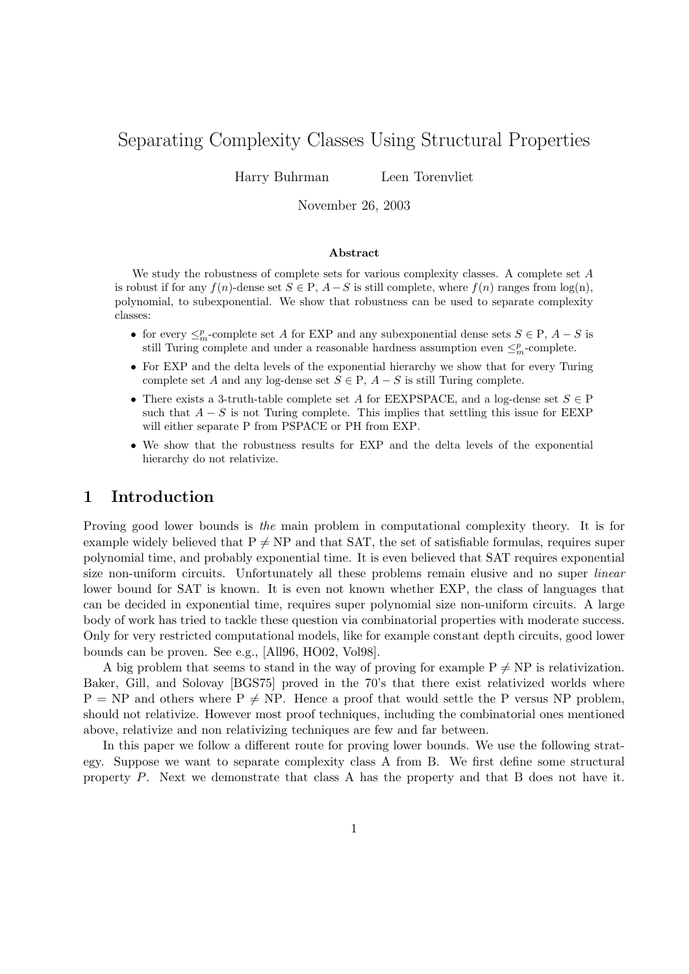# Separating Complexity Classes Using Structural Properties

Harry Buhrman Leen Torenvliet

November 26, 2003

#### Abstract

We study the robustness of complete sets for various complexity classes. A complete set A is robust if for any  $f(n)$ -dense set  $S \in P$ ,  $A-S$  is still complete, where  $f(n)$  ranges from  $log(n)$ , polynomial, to subexponential. We show that robustness can be used to separate complexity classes:

- for every  $\leq^p_m$ -complete set A for EXP and any subexponential dense sets  $S \in \mathcal{P}$ ,  $A S$  is still Turing complete and under a reasonable hardness assumption even  $\leq^p_m$ -complete.
- For EXP and the delta levels of the exponential hierarchy we show that for every Turing complete set A and any log-dense set  $S \in \mathcal{P}$ ,  $A - S$  is still Turing complete.
- There exists a 3-truth-table complete set A for EEXPSPACE, and a log-dense set  $S \in \mathcal{P}$ such that  $A - S$  is not Turing complete. This implies that settling this issue for EEXP will either separate P from PSPACE or PH from EXP.
- We show that the robustness results for EXP and the delta levels of the exponential hierarchy do not relativize.

### 1 Introduction

Proving good lower bounds is the main problem in computational complexity theory. It is for example widely believed that  $P \neq NP$  and that SAT, the set of satisfiable formulas, requires super polynomial time, and probably exponential time. It is even believed that SAT requires exponential size non-uniform circuits. Unfortunately all these problems remain elusive and no super *linear* lower bound for SAT is known. It is even not known whether EXP, the class of languages that can be decided in exponential time, requires super polynomial size non-uniform circuits. A large body of work has tried to tackle these question via combinatorial properties with moderate success. Only for very restricted computational models, like for example constant depth circuits, good lower bounds can be proven. See e.g., [All96, HO02, Vol98].

A big problem that seems to stand in the way of proving for example  $P \neq NP$  is relativization. Baker, Gill, and Solovay [BGS75] proved in the 70's that there exist relativized worlds where  $P = NP$  and others where  $P \neq NP$ . Hence a proof that would settle the P versus NP problem, should not relativize. However most proof techniques, including the combinatorial ones mentioned above, relativize and non relativizing techniques are few and far between.

In this paper we follow a different route for proving lower bounds. We use the following strategy. Suppose we want to separate complexity class A from B. We first define some structural property P. Next we demonstrate that class A has the property and that B does not have it.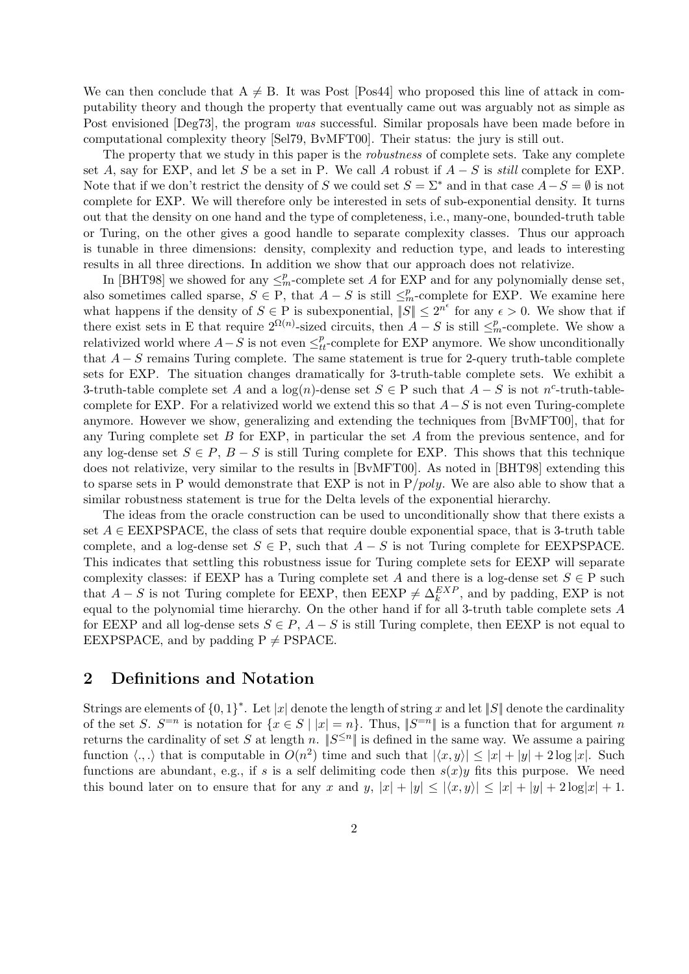We can then conclude that  $A \neq B$ . It was Post [Pos44] who proposed this line of attack in computability theory and though the property that eventually came out was arguably not as simple as Post envisioned [Deg73], the program was successful. Similar proposals have been made before in computational complexity theory [Sel79, BvMFT00]. Their status: the jury is still out.

The property that we study in this paper is the *robustness* of complete sets. Take any complete set A, say for EXP, and let S be a set in P. We call A robust if  $A - S$  is still complete for EXP. Note that if we don't restrict the density of S we could set  $S = \Sigma^*$  and in that case  $A-S = \emptyset$  is not complete for EXP. We will therefore only be interested in sets of sub-exponential density. It turns out that the density on one hand and the type of completeness, i.e., many-one, bounded-truth table or Turing, on the other gives a good handle to separate complexity classes. Thus our approach is tunable in three dimensions: density, complexity and reduction type, and leads to interesting results in all three directions. In addition we show that our approach does not relativize.

In [BHT98] we showed for any  $\leq^p_m$ -complete set A for EXP and for any polynomially dense set, also sometimes called sparse,  $S \in \mathcal{P}$ , that  $A - S$  is still  $\leq^p_m$ -complete for EXP. We examine here what happens if the density of  $S \in \mathcal{P}$  is subexponential,  $||S|| \leq 2^{n^{\epsilon}}$  for any  $\epsilon > 0$ . We show that if there exist sets in E that require  $2^{\Omega(n)}$ -sized circuits, then  $A-S$  is still  $\leq^p_m$ -complete. We show a relativized world where  $A-S$  is not even  $\leq^p_{tt}$ -complete for EXP anymore. We show unconditionally that  $A - S$  remains Turing complete. The same statement is true for 2-query truth-table complete sets for EXP. The situation changes dramatically for 3-truth-table complete sets. We exhibit a 3-truth-table complete set A and a  $log(n)$ -dense set  $S \in P$  such that  $A - S$  is not n<sup>c</sup>-truth-tablecomplete for EXP. For a relativized world we extend this so that  $A-S$  is not even Turing-complete anymore. However we show, generalizing and extending the techniques from [BvMFT00], that for any Turing complete set  $B$  for EXP, in particular the set  $A$  from the previous sentence, and for any log-dense set  $S \in P$ ,  $B - S$  is still Turing complete for EXP. This shows that this technique does not relativize, very similar to the results in [BvMFT00]. As noted in [BHT98] extending this to sparse sets in P would demonstrate that EXP is not in  $P/poly$ . We are also able to show that a similar robustness statement is true for the Delta levels of the exponential hierarchy.

The ideas from the oracle construction can be used to unconditionally show that there exists a set  $A \in EEXPSPACE$ , the class of sets that require double exponential space, that is 3-truth table complete, and a log-dense set  $S \in \mathcal{P}$ , such that  $A - S$  is not Turing complete for EEXPSPACE. This indicates that settling this robustness issue for Turing complete sets for EEXP will separate complexity classes: if EEXP has a Turing complete set A and there is a log-dense set  $S \in \mathcal{P}$  such that  $A - S$  is not Turing complete for EEXP, then EEXP  $\neq \Delta_k^{EXP}$ , and by padding, EXP is not equal to the polynomial time hierarchy. On the other hand if for all 3-truth table complete sets A for EEXP and all log-dense sets  $S \in P$ ,  $A - S$  is still Turing complete, then EEXP is not equal to EEXPSPACE, and by padding  $P \neq PSPACE$ .

### 2 Definitions and Notation

Strings are elements of  $\{0,1\}^*$ . Let  $|x|$  denote the length of string x and let  $||S||$  denote the cardinality of the set S.  $S^{-n}$  is notation for  $\{x \in S \mid |x| = n\}$ . Thus,  $||S^{-n}||$  is a function that for argument n returns the cardinality of set S at length n.  $||S^{\leq n}||$  is defined in the same way. We assume a pairing function  $\langle .,.\rangle$  that is computable in  $O(n^2)$  time and such that  $|\langle x, y \rangle| \leq |x| + |y| + 2 \log |x|$ . Such functions are abundant, e.g., if s is a self delimiting code then  $s(x)y$  fits this purpose. We need this bound later on to ensure that for any x and  $y, |x| + |y| \leq |\langle x, y \rangle| \leq |x| + |y| + 2 \log|x| + 1$ .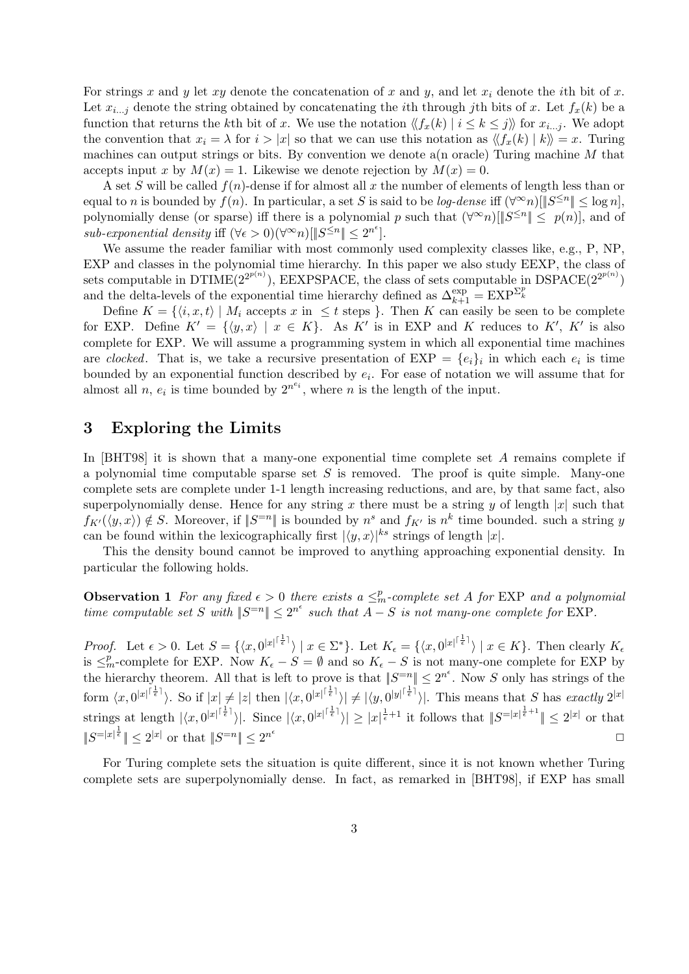For strings x and y let xy denote the concatenation of x and y, and let  $x_i$  denote the ith bit of x. Let  $x_{i...j}$  denote the string obtained by concatenating the *i*th through *j*th bits of x. Let  $f_x(k)$  be a function that returns the kth bit of x. We use the notation  $\langle f_x(k) | i \leq k \leq j \rangle$  for  $x_{i...j}$ . We adopt the convention that  $x_i = \lambda$  for  $i > |x|$  so that we can use this notation as  $\langle f_x(k) | k \rangle = x$ . Turing machines can output strings or bits. By convention we denote a(n oracle) Turing machine  $M$  that accepts input x by  $M(x) = 1$ . Likewise we denote rejection by  $M(x) = 0$ .

A set S will be called  $f(n)$ -dense if for almost all x the number of elements of length less than or equal to n is bounded by  $f(n)$ . In particular, a set S is said to be *log-dense* iff  $(\forall^{\infty} n) \leq s \leq \log n$ , polynomially dense (or sparse) iff there is a polynomial p such that  $(\forall^{\infty} n)[\|S^{\leq n}\| \leq p(n)]$ , and of sub-exponential density iff  $(\forall \epsilon > 0)(\forall^{\infty} n)$   $||S^{\leq n}|| \leq 2^{n^{\epsilon}}$ .

We assume the reader familiar with most commonly used complexity classes like, e.g., P, NP. EXP and classes in the polynomial time hierarchy. In this paper we also study EEXP, the class of sets computable in DTIME $(2^{2^{p(n)}})$ , EEXPSPACE, the class of sets computable in DSPACE $(2^{2^{p(n)}})$ and the delta-levels of the exponential time hierarchy defined as  $\Delta_{k+1}^{\exp} = \text{EXP}^{\Sigma_k^p}$ 

Define  $K = \{ \langle i, x, t \rangle \mid M_i \text{ accepts } x \text{ in } \leq t \text{ steps } \}.$  Then K can easily be seen to be complete for EXP. Define  $K' = \{ \langle y, x \rangle \mid x \in K \}$ . As K' is in EXP and K reduces to K', K' is also complete for EXP. We will assume a programming system in which all exponential time machines are clocked. That is, we take a recursive presentation of  $EXP = \{e_i\}_i$  in which each  $e_i$  is time bounded by an exponential function described by  $e_i$ . For ease of notation we will assume that for almost all n,  $e_i$  is time bounded by  $2^{n^{e_i}}$ , where n is the length of the input.

### 3 Exploring the Limits

In [BHT98] it is shown that a many-one exponential time complete set A remains complete if a polynomial time computable sparse set  $S$  is removed. The proof is quite simple. Many-one complete sets are complete under 1-1 length increasing reductions, and are, by that same fact, also superpolynomially dense. Hence for any string x there must be a string y of length |x| such that  $f_{K'}(\langle y, x \rangle) \notin S$ . Moreover, if  $||S^{=n}||$  is bounded by  $n^s$  and  $f_{K'}$  is  $n^k$  time bounded. such a string y can be found within the lexicographically first  $|\langle y, x \rangle|^{ks}$  strings of length |x|.

This the density bound cannot be improved to anything approaching exponential density. In particular the following holds.

**Observation 1** For any fixed  $\epsilon > 0$  there exists a  $\leq^p_m$ -complete set A for EXP and a polynomial time computable set S with  $||S^{-n}|| \leq 2^{n^{\epsilon}}$  such that  $A-S$  is not many-one complete for EXP.

*Proof.* Let  $\epsilon > 0$ . Let  $S = \{ \langle x, 0^{|x|^{\lceil \frac{1}{\epsilon} \rceil}} \rangle \mid x \in \Sigma^* \}$ . Let  $K_{\epsilon} = \{ \langle x, 0^{|x|^{\lceil \frac{1}{\epsilon} \rceil}} \rangle \mid x \in K \}$ . Then clearly  $K_{\epsilon}$ is  $\leq^p_m$ -complete for EXP. Now  $K_{\epsilon}-S=\emptyset$  and so  $K_{\epsilon}-S$  is not many-one complete for EXP by the hierarchy theorem. All that is left to prove is that  $||S^{-n}|| \leq 2^{n^{\epsilon}}$ . Now S only has strings of the form  $\langle x, 0^{|x|^{[\frac{1}{\epsilon}]}} \rangle$ . So if  $|x| \neq |z|$  then  $|\langle x, 0^{|x|^{[\frac{1}{\epsilon}]}} \rangle| \neq |\langle y, 0^{|y|^{[\frac{1}{\epsilon}]}} \rangle|$ . This means that S has exactly  $2^{|x|}$ strings at length  $|\langle x, 0^{|x| \frac{1}{\epsilon} \overline{1}} \rangle|$ . Since  $|\langle x, 0^{|x| \frac{1}{\epsilon} \overline{1}} \rangle| \geq |x|^{\frac{1}{\epsilon}+1}$  it follows that  $||S^{= |x|^{\frac{1}{\epsilon}+1}}|| \leq 2^{|x|}$  or that  $||S^{=|x|^{\frac{1}{\epsilon}}}\| \leq 2^{|x|}$  or that  $||S^{=n}|| \leq 2^{n^{\epsilon}}$  $\Box$ 

For Turing complete sets the situation is quite different, since it is not known whether Turing complete sets are superpolynomially dense. In fact, as remarked in [BHT98], if EXP has small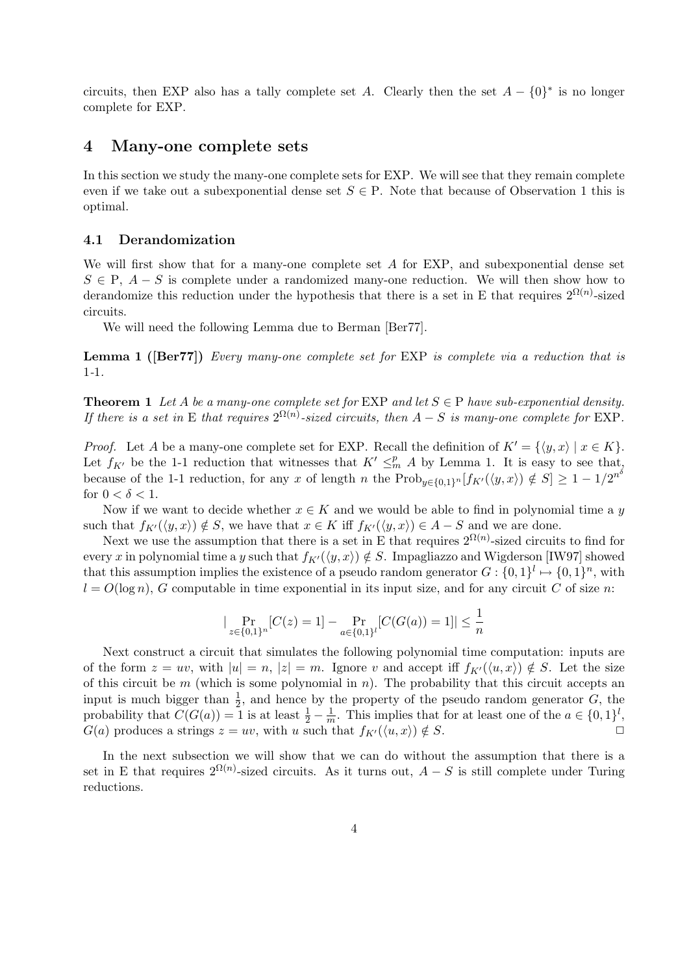circuits, then EXP also has a tally complete set A. Clearly then the set  $A - \{0\}^*$  is no longer complete for EXP.

### 4 Many-one complete sets

In this section we study the many-one complete sets for EXP. We will see that they remain complete even if we take out a subexponential dense set  $S \in \mathcal{P}$ . Note that because of Observation 1 this is optimal.

#### 4.1 Derandomization

We will first show that for a many-one complete set  $A$  for EXP, and subexponential dense set  $S \in \mathbb{P}$ ,  $A - S$  is complete under a randomized many-one reduction. We will then show how to derandomize this reduction under the hypothesis that there is a set in E that requires  $2^{\Omega(n)}$ -sized circuits.

We will need the following Lemma due to Berman [Ber77].

Lemma 1 ([Ber77]) Every many-one complete set for EXP is complete via a reduction that is 1-1.

**Theorem 1** Let A be a many-one complete set for EXP and let  $S \in P$  have sub-exponential density. If there is a set in E that requires  $2^{\Omega(n)}$ -sized circuits, then  $A-S$  is many-one complete for EXP.

*Proof.* Let A be a many-one complete set for EXP. Recall the definition of  $K' = \{y, x \mid x \in K\}.$ Let  $f_{K'}$  be the 1-1 reduction that witnesses that  $K' \leq^p M A$  by Lemma 1. It is easy to see that, because of the 1-1 reduction, for any x of length n the  $\text{Prob}_{y \in \{0,1\}^n}[f_{K'}(\langle y, x \rangle) \notin S] \geq 1 - 1/2^{n^{\delta}}$ for  $0 < \delta < 1$ .

Now if we want to decide whether  $x \in K$  and we would be able to find in polynomial time a y such that  $f_{K'}(\langle y, x \rangle) \notin S$ , we have that  $x \in K$  iff  $f_{K'}(\langle y, x \rangle) \in A - S$  and we are done.

Next we use the assumption that there is a set in E that requires  $2^{\Omega(n)}$ -sized circuits to find for every x in polynomial time a y such that  $f_{K'}(\langle y, x \rangle) \notin S$ . Impagliazzo and Wigderson [IW97] showed that this assumption implies the existence of a pseudo random generator  $G: \{0,1\}^l \mapsto \{0,1\}^n$ , with  $l = O(\log n)$ , G computable in time exponential in its input size, and for any circuit C of size n:

$$
|\Pr_{z \in \{0,1\}^n}[C(z) = 1] - \Pr_{a \in \{0,1\}^l}[C(G(a)) = 1]| \le \frac{1}{n}
$$

Next construct a circuit that simulates the following polynomial time computation: inputs are of the form  $z = uv$ , with  $|u| = n$ ,  $|z| = m$ . Ignore v and accept iff  $f_{K'}(\langle u, x \rangle) \notin S$ . Let the size of this circuit be  $m$  (which is some polynomial in  $n$ ). The probability that this circuit accepts an input is much bigger than  $\frac{1}{2}$ , and hence by the property of the pseudo random generator G, the probability that  $C(G(a)) = 1$  is at least  $\frac{1}{2} - \frac{1}{n}$  $\frac{1}{m}$ . This implies that for at least one of the  $a \in \{0,1\}^l$ ,  $G(a)$  produces a strings  $z = uv$ , with u such that  $f_{K'}(\langle u, x \rangle) \notin S$ .

In the next subsection we will show that we can do without the assumption that there is a set in E that requires  $2^{\Omega(n)}$ -sized circuits. As it turns out,  $A-S$  is still complete under Turing reductions.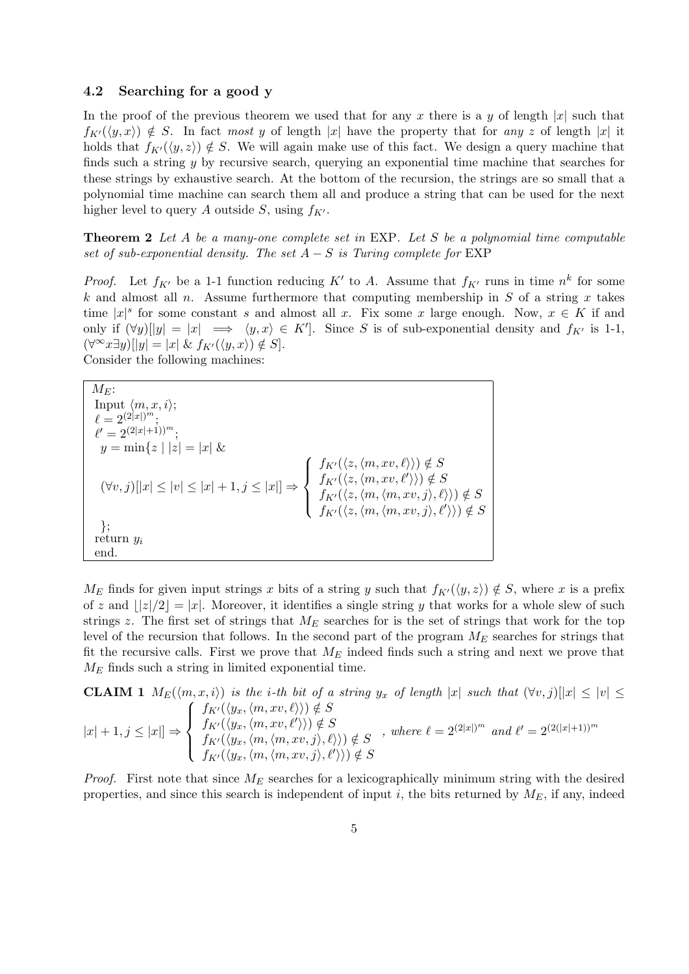#### 4.2 Searching for a good y

In the proof of the previous theorem we used that for any x there is a y of length |x| such that  $f_{K'}(\langle y, x \rangle) \notin S$ . In fact most y of length |x| have the property that for any z of length |x| it holds that  $f_{K}(\langle y, z \rangle) \notin S$ . We will again make use of this fact. We design a query machine that finds such a string  $y$  by recursive search, querying an exponential time machine that searches for these strings by exhaustive search. At the bottom of the recursion, the strings are so small that a polynomial time machine can search them all and produce a string that can be used for the next higher level to query A outside S, using  $f_{K'}$ .

Theorem 2 Let A be a many-one complete set in EXP. Let S be a polynomial time computable set of sub-exponential density. The set  $A-S$  is Turing complete for EXP

*Proof.* Let  $f_{K'}$  be a 1-1 function reducing K' to A. Assume that  $f_{K'}$  runs in time  $n^k$  for some k and almost all n. Assume furthermore that computing membership in  $S$  of a string  $x$  takes time  $|x|^s$  for some constant s and almost all x. Fix some x large enough. Now,  $x \in K$  if and only if  $(\forall y)[|y| = |x| \implies \langle y, x \rangle \in K']$ . Since S is of sub-exponential density and  $f_{K'}$  is 1-1,  $(\forall^\infty x \exists y)[|y| = |x| \& f_{K'}(\langle y, x \rangle) \notin S].$ Consider the following machines:

 $M_E$ : Input  $\langle m, x, i \rangle;$  $\ell=2^{(2|x|)^m};$  $\ell' = 2^{(2|x|+1))^m};$  $y = \min\{z \mid |z| = |x| \&$  $(\forall v, j) [x] \leq |v| \leq |x| + 1, j \leq |x| \Rightarrow$  $\sqrt{ }$  $\int$  $\overline{\mathcal{L}}$  $f_{K'}(\langle z, \langle m, xv, \ell \rangle \rangle) \notin S$  $f_{K'}(\langle z, \langle m, xv, \ell' \rangle \rangle) \notin S$  $f_{K'}(\langle z, \langle m,\langle m, xv, j\rangle, \ell \rangle) \notin S$  $f_{K'}(\langle z, \langle m, \langle m, xv, j \rangle, \ell' \rangle)) \notin S$ }; return  $y_i$ end.

 $M_E$  finds for given input strings x bits of a string y such that  $f_{K'}(\langle y, z \rangle) \notin S$ , where x is a prefix of z and  $||z|/2| = |x|$ . Moreover, it identifies a single string y that works for a whole slew of such strings z. The first set of strings that  $M_E$  searches for is the set of strings that work for the top level of the recursion that follows. In the second part of the program  $M_E$  searches for strings that fit the recursive calls. First we prove that  $M_E$  indeed finds such a string and next we prove that  $M_E$  finds such a string in limited exponential time.

**CLAIM 1** 
$$
M_E(\langle m, x, i \rangle)
$$
 is the *i*-th bit of a string  $y_x$  of length  $|x|$  such that  $(\forall v, j)[|x| \le |v| \le$   
\n $|x| + 1, j \le |x|$   $\Rightarrow$   $\begin{cases} f_{K'}(\langle y_x, \langle m, xv, \ell \rangle \rangle) \notin S \\ f_{K'}(\langle y_x, \langle m, xv, \ell' \rangle \rangle) \notin S \\ f_{K'}(\langle y_x, \langle m, \langle m, xv, j \rangle, \ell \rangle \rangle) \notin S \\ f_{K'}(\langle y_x, \langle m, \langle m, xv, j \rangle, \ell' \rangle \rangle) \notin S \end{cases}$ , where  $\ell = 2^{(2|x|)^m}$  and  $\ell' = 2^{(2(|x|+1))^m}$ 

*Proof.* First note that since  $M_E$  searches for a lexicographically minimum string with the desired properties, and since this search is independent of input i, the bits returned by  $M_E$ , if any, indeed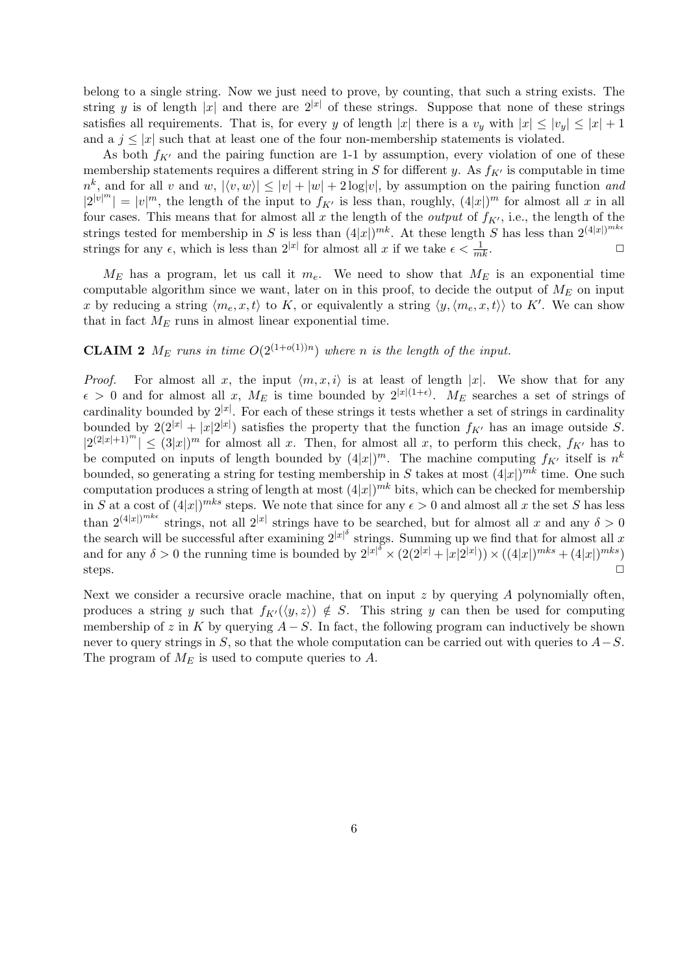belong to a single string. Now we just need to prove, by counting, that such a string exists. The string y is of length |x| and there are  $2^{|x|}$  of these strings. Suppose that none of these strings satisfies all requirements. That is, for every y of length |x| there is a  $v_y$  with  $|x| \le |v_y| \le |x| + 1$ and a  $j \leq |x|$  such that at least one of the four non-membership statements is violated.

As both  $f_{K'}$  and the pairing function are 1-1 by assumption, every violation of one of these membership statements requires a different string in S for different y. As  $f_{K'}$  is computable in time  $n^k$ , and for all v and w,  $|\langle v, w \rangle| \leq |v| + |w| + 2 \log |v|$ , by assumption on the pairing function and  $|2^{|v|^m}| = |v|^m$ , the length of the input to  $f_{K'}$  is less than, roughly,  $(4|x|)^m$  for almost all x in all four cases. This means that for almost all x the length of the *output* of  $f_{K'}$ , i.e., the length of the strings tested for membership in S is less than  $(4|x|)^{mk}$ . At these length S has less than  $2^{(4|x|)^{mk\epsilon}}$ strings for any  $\epsilon$ , which is less than  $2^{|x|}$  for almost all x if we take  $\epsilon < \frac{1}{m}$  $\frac{1}{mk}$ .

 $M_E$  has a program, let us call it  $m_e$ . We need to show that  $M_E$  is an exponential time computable algorithm since we want, later on in this proof, to decide the output of  $M_E$  on input x by reducing a string  $\langle m_e, x, t \rangle$  to K, or equivalently a string  $\langle y, \langle m_e, x, t \rangle \rangle$  to K'. We can show that in fact  $M_E$  runs in almost linear exponential time.

## **CLAIM 2**  $M_E$  runs in time  $O(2^{(1+o(1))n})$  where n is the length of the input.

*Proof.* For almost all x, the input  $\langle m, x, i \rangle$  is at least of length |x|. We show that for any  $\epsilon > 0$  and for almost all x,  $M_E$  is time bounded by  $2^{|x|(1+\epsilon)}$ .  $M_E$  searches a set of strings of cardinality bounded by  $2^{|x|}$ . For each of these strings it tests whether a set of strings in cardinality bounded by  $2(2^{|x|} + |x|2^{|x|})$  satisfies the property that the function  $f_{K'}$  has an image outside S.  $|2^{(2|x|+1)^m}| \leq (3|x|)^m$  for almost all x. Then, for almost all x, to perform this check,  $f_{K'}$  has to be computed on inputs of length bounded by  $(4|x|)^m$ . The machine computing  $f_{K'}$  itself is  $n^k$ bounded, so generating a string for testing membership in S takes at most  $(4|x|)^{mk}$  time. One such computation produces a string of length at most  $(4|x|)^{mk}$  bits, which can be checked for membership in S at a cost of  $(4|x|)^{mks}$  steps. We note that since for any  $\epsilon > 0$  and almost all x the set S has less than  $2^{(4|x|)^{mk\epsilon}}$  strings, not all  $2^{|x|}$  strings have to be searched, but for almost all x and any  $\delta > 0$ the search will be successful after examining  $2^{|x|^{\delta}}$  strings. Summing up we find that for almost all x and for any  $\delta > 0$  the running time is bounded by  $2^{|x|^\delta} \times (2(2^{|x|} + |x|2^{|x|})) \times ((4|x|)^{mks} + (4|x|)^{mks})$ steps.  $\Box$ 

Next we consider a recursive oracle machine, that on input  $z$  by querying  $A$  polynomially often, produces a string y such that  $f_{K'}(\langle y, z \rangle) \notin S$ . This string y can then be used for computing membership of z in K by querying  $A-S$ . In fact, the following program can inductively be shown never to query strings in S, so that the whole computation can be carried out with queries to  $A-S$ . The program of  $M_E$  is used to compute queries to A.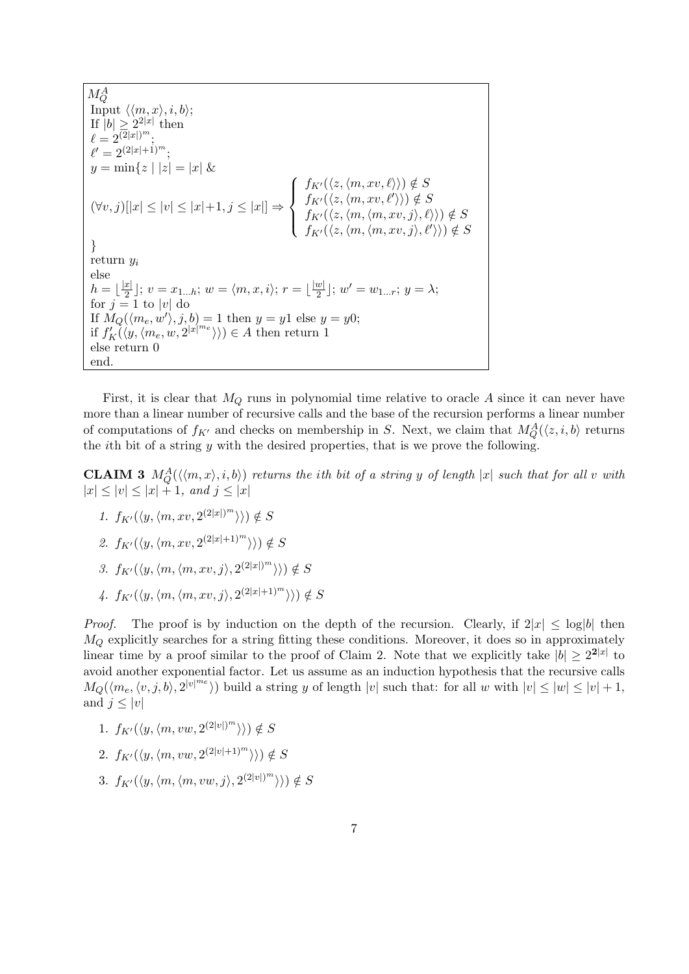$M_Q^A$ Input  $\langle \langle m, x \rangle, i, b \rangle;$ If  $|b| \geq 2^{2|x|}$  then  $\ell = 2^{(\overline{2}|x|)^m};$  $\ell' = 2^{(2|x|+1)^m};$  $y = \min\{z \mid |z| = |x| \&$  $(\forall v, j) [ |x| \leq |v| \leq |x| + 1, j \leq |x| ] \Rightarrow$  $\sqrt{ }$  $\int$  $\overline{\mathcal{L}}$  $f_{K'}(\langle z, \langle m, xv, \ell \rangle \rangle) \notin S$  $f_{K'}(\langle z, \langle m, xv, \ell' \rangle \rangle) \notin S$  $f_{K'}(\langle z, \langle m,\langle m, xv, j\rangle, \ell\rangle\rangle) \notin S$  $f_{K'}(\langle z, \langle m, \langle m, xv, j \rangle, \ell' \rangle)) \notin S$ } return  $y_i$ else  $h=|\frac{|x|}{2}$  $\frac{x}{2}$ ];  $v = x_{1...h}$ ;  $w = \langle m, x, i \rangle$ ;  $r = \lfloor \frac{|w|}{2} \rfloor$  $\frac{w}{2}$ ];  $w'=w_{1...r}$ ;  $y=\lambda$ ; for  $j = 1$  to |v| do If  $M_Q(\langle m_e, w' \rangle, j, b) = 1$  then  $y = y1$  else  $y = y0$ ; if  $f'_K(\langle y, \langle m_e, w, 2^{|x|^{m_e}} \rangle) \in A$  then return 1 else return 0 end.

First, it is clear that  $M_Q$  runs in polynomial time relative to oracle A since it can never have more than a linear number of recursive calls and the base of the recursion performs a linear number of computations of  $f_{K'}$  and checks on membership in S. Next, we claim that  $M_Q^A(\langle z, i, b \rangle)$  returns the *i*th bit of a string  $y$  with the desired properties, that is we prove the following.

**CLAIM 3**  $M_Q^A(\langle\langle m, x\rangle, i, b\rangle)$  returns the ith bit of a string y of length |x| such that for all v with  $|x| \le |v| \le |x| + 1$ , and  $j \le |x|$ 

- 1.  $f_{K'}(\langle y, \langle m, xv, 2^{(2|x|)^m} \rangle) \notin S$
- 2.  $f_{K'}(\langle y, \langle m, xv, 2^{(2|x|+1)^m} \rangle) \notin S$
- 3.  $f_{K'}(\langle y, \langle m, \langle m, xv, j \rangle, 2^{(2|x|)^m} \rangle)) \notin S$
- 4.  $f_{K'}(\langle y, \langle m, \langle m, xv, j \rangle, 2^{(2|x|+1)^m} \rangle)) \notin S$

*Proof.* The proof is by induction on the depth of the recursion. Clearly, if  $2|x| \leq \log|b|$  then  $M<sub>O</sub>$  explicitly searches for a string fitting these conditions. Moreover, it does so in approximately linear time by a proof similar to the proof of Claim 2. Note that we explicitly take  $|b| \geq 2^{2|x|}$  to avoid another exponential factor. Let us assume as an induction hypothesis that the recursive calls  $M_Q(\langle m_e, \langle v, j, b \rangle, 2^{|v|^{m_e}} \rangle)$  build a string y of length  $|v|$  such that: for all w with  $|v| \leq |w| \leq |v| + 1$ , and  $j \leq |v|$ 

- 1.  $f_{K'}(\langle y, \langle m, vw, 2^{(2|v|)^m} \rangle) \notin S$
- 2.  $f_{K'}(\langle y, \langle m, vw, 2^{(2|v|+1)^m} \rangle) \notin S$
- 3.  $f_{K'}(\langle y, \langle m, \langle m, vw, j \rangle, 2^{(2|v|)^m} \rangle) \notin S$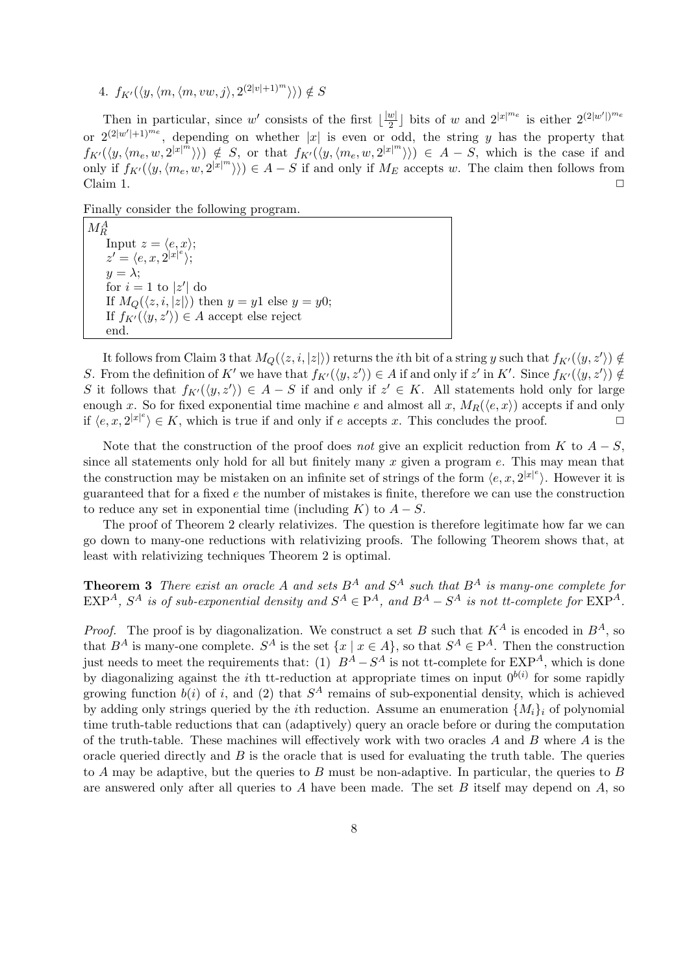4.  $f_{K'}(\langle y, \langle m, \langle m, vw, j \rangle, 2^{(2|v|+1)^m} \rangle)) \notin S$ 

Then in particular, since w' consists of the first  $\lfloor \frac{|w|}{2} \rfloor$  $\frac{w|}{2}$  bits of w and  $2^{|x|^{m_e}}$  is either  $2^{(2|w'|)^{m_e}}$ or  $2^{(2|w'|+1)^{m_e}}$ , depending on whether |x| is even or odd, the string y has the property that  $f_{K}(\langle y, \langle m_e, w, 2^{|x|^{m}} \rangle) \rangle \notin S$ , or that  $f_{K}(\langle y, \langle m_e, w, 2^{|x|^{m}} \rangle) \rangle \in A - S$ , which is the case if and only if  $f_{K'}(\langle y, \langle m_e, w, 2^{|x|^m} \rangle) \in A - S$  if and only if  $M_E$  accepts w. The claim then follows from Claim 1.  $\Box$ 

Finally consider the following program.

 $M_R^A$ Input  $z = \langle e, x \rangle;$  $z' = \langle e, x, 2^{|x|^e} \rangle;$  $y = \lambda$ : for  $i = 1$  to  $|z'|$  do If  $M_Q(\langle z, i, |z| \rangle)$  then  $y = y1$  else  $y = y0$ ; If  $f_{K'}(\langle y, z' \rangle) \in A$  accept else reject end.

It follows from Claim 3 that  $M_Q(\langle z, i, |z| \rangle)$  returns the *i*th bit of a string y such that  $f_{K'}(\langle y, z' \rangle) \notin$ S. From the definition of K' we have that  $f_{K'}(\langle y, z' \rangle) \in A$  if and only if  $z'$  in K'. Since  $f_{K'}(\langle y, z' \rangle) \notin A$ S it follows that  $f_{K}(\langle y, z' \rangle) \in A - S$  if and only if  $z' \in K$ . All statements hold only for large enough x. So for fixed exponential time machine e and almost all x,  $M_R(\langle e, x \rangle)$  accepts if and only if  $\langle e, x, 2^{|x|^e} \rangle \in K$ , which is true if and only if e accepts x. This concludes the proof.

Note that the construction of the proof does not give an explicit reduction from K to  $A-S$ , since all statements only hold for all but finitely many  $x$  given a program  $e$ . This may mean that the construction may be mistaken on an infinite set of strings of the form  $\langle e, x, 2^{|x|^e} \rangle$ . However it is guaranteed that for a fixed e the number of mistakes is finite, therefore we can use the construction to reduce any set in exponential time (including K) to  $A-S$ .

The proof of Theorem 2 clearly relativizes. The question is therefore legitimate how far we can go down to many-one reductions with relativizing proofs. The following Theorem shows that, at least with relativizing techniques Theorem 2 is optimal.

**Theorem 3** There exist an oracle A and sets  $B^A$  and  $S^A$  such that  $B^A$  is many-one complete for  $\text{EXP}^A$ ,  $S^A$  is of sub-exponential density and  $S^A \in \mathbb{P}^A$ , and  $B^A - S^A$  is not tt-complete for  $\text{EXP}^A$ .

*Proof.* The proof is by diagonalization. We construct a set B such that  $K^A$  is encoded in  $B^A$ , so that  $B^A$  is many-one complete.  $S^A$  is the set  $\{x \mid x \in A\}$ , so that  $S^A \in P^A$ . Then the construction just needs to meet the requirements that: (1)  $B^A - S^A$  is not tt-complete for  $\text{EXP}^A$ , which is done by diagonalizing against the *i*th tt-reduction at appropriate times on input  $0^{b(i)}$  for some rapidly growing function  $b(i)$  of i, and (2) that  $S^A$  remains of sub-exponential density, which is achieved by adding only strings queried by the *i*th reduction. Assume an enumeration  $\{M_i\}_i$  of polynomial time truth-table reductions that can (adaptively) query an oracle before or during the computation of the truth-table. These machines will effectively work with two oracles A and B where A is the oracle queried directly and  $B$  is the oracle that is used for evaluating the truth table. The queries to A may be adaptive, but the queries to B must be non-adaptive. In particular, the queries to B are answered only after all queries to A have been made. The set B itself may depend on  $A$ , so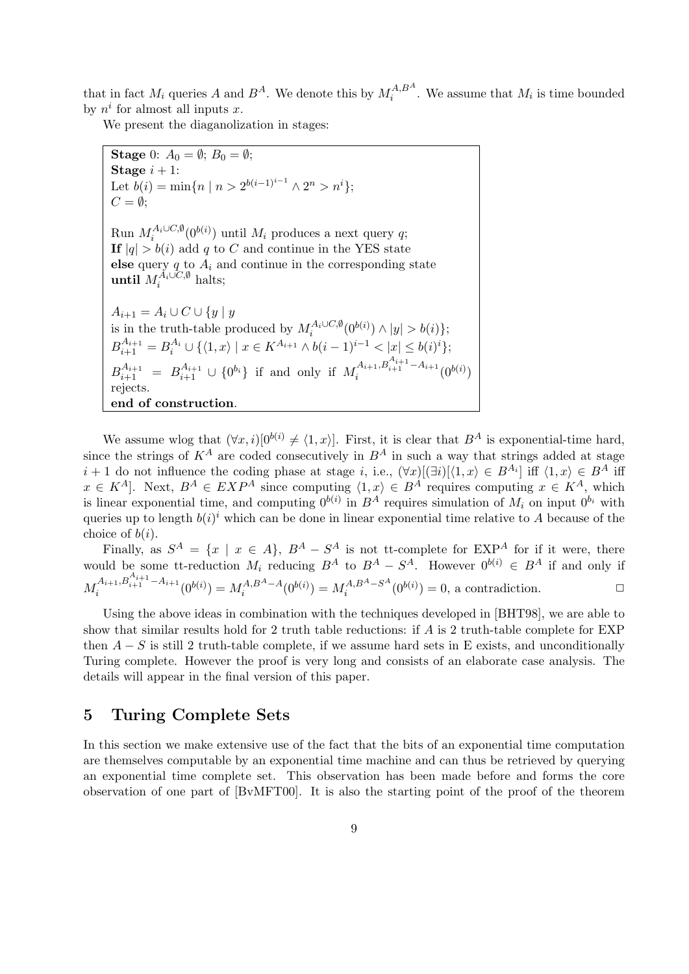that in fact  $M_i$  queries A and  $B^A$ . We denote this by  $M_i^{A,B^A}$  $i<sup>A,B</sup>$ . We assume that  $M_i$  is time bounded by  $n^i$  for almost all inputs x.

We present the diaganolization in stages:

**Stage** 0: 
$$
A_0 = \emptyset
$$
;  $B_0 = \emptyset$ ;  
\n**Stage**  $i + 1$ :  
\nLet  $b(i) = \min\{n \mid n > 2^{b(i-1)^{i-1}} \land 2^n > n^i\}$ ;  
\n $C = \emptyset$ ;  
\nRun  $M_i^{A_i \cup C, \emptyset}(0^{b(i)})$  until  $M_i$  produces a next query  $q$ ;  
\n**If**  $|q| > b(i)$  add  $q$  to  $C$  and continue in the YES state  
\nelse query  $q$  to  $A_i$  and continue in the corresponding state  
\nuntil  $M_i^{A_i \cup C, \emptyset}$  halts;  
\n $A_{i+1} = A_i \cup C \cup \{y \mid y$   
\nis in the truth-table produced by  $M_i^{A_i \cup C, \emptyset}(0^{b(i)}) \land |y| > b(i)\}$ ;  
\n $B_{i+1}^{A_{i+1}} = B_i^{A_i} \cup \{\langle 1, x \rangle \mid x \in K^{A_{i+1}} \land b(i-1)^{i-1} < |x| \le b(i)^i\}$ ;  
\n $B_{i+1}^{A_{i+1}} = B_{i+1}^{A_{i+1}} \cup \{0^{b_i}\}$  if and only if  $M_i^{A_{i+1}, B_{i+1}^{A_{i+1}} - A_{i+1}}(0^{b(i)})$   
\nrejects.  
\n**end of construction.**

We assume wlog that  $(\forall x, i)[0^{b(i)} \neq \langle 1, x \rangle]$ . First, it is clear that  $B^A$  is exponential-time hard, since the strings of  $K^A$  are coded consecutively in  $B^A$  in such a way that strings added at stage  $i + 1$  do not influence the coding phase at stage i, i.e.,  $(\forall x)[(\exists i)[\langle 1, x \rangle \in B^{A_i}]$  iff  $\langle 1, x \rangle \in B^A$  iff  $x \in K^A$ . Next,  $B^A \in EXP^A$  since computing  $\langle 1, x \rangle \in B^A$  requires computing  $x \in K^A$ , which is linear exponential time, and computing  $0^{b(i)}$  in  $B^A$  requires simulation of  $M_i$  on input  $0^{b_i}$  with queries up to length  $b(i)^i$  which can be done in linear exponential time relative to A because of the choice of  $b(i)$ .

Finally, as  $S^A = \{x \mid x \in A\}$ ,  $B^A - S^A$  is not tt-complete for  $\text{EXP}^A$  for if it were, there would be some tt-reduction  $M_i$  reducing  $B^A$  to  $B^A - S^A$ . However  $0^{b(i)} \in B^A$  if and only if  $M_i^{A_{i+1},B_{i+1}^{A_{i+1}}-A_{i+1}}$  $a_i^{A_{i+1},B_{i+1}^{-i+1}-A_{i+1}}(0^{b(i)})=M_i^{A,B^A-A_i}$  $i^{A,B^A-A}(0^{b(i)}) = M_i^{A,B^A-S^A}$  $i^{A,B^A-S^A}(0^{b(i)})=0$ , a contradiction.

Using the above ideas in combination with the techniques developed in [BHT98], we are able to show that similar results hold for 2 truth table reductions: if A is 2 truth-table complete for EXP then  $A - S$  is still 2 truth-table complete, if we assume hard sets in E exists, and unconditionally Turing complete. However the proof is very long and consists of an elaborate case analysis. The details will appear in the final version of this paper.

# 5 Turing Complete Sets

In this section we make extensive use of the fact that the bits of an exponential time computation are themselves computable by an exponential time machine and can thus be retrieved by querying an exponential time complete set. This observation has been made before and forms the core observation of one part of [BvMFT00]. It is also the starting point of the proof of the theorem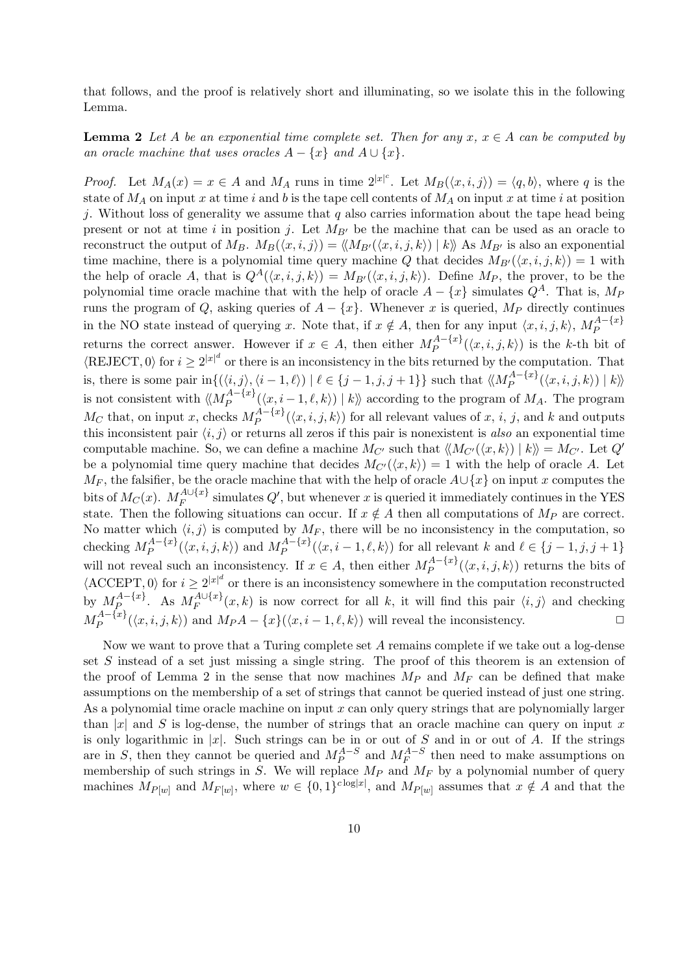that follows, and the proof is relatively short and illuminating, so we isolate this in the following Lemma.

**Lemma 2** Let A be an exponential time complete set. Then for any  $x, x \in A$  can be computed by an oracle machine that uses oracles  $A - \{x\}$  and  $A \cup \{x\}$ .

*Proof.* Let  $M_A(x) = x \in A$  and  $M_A$  runs in time  $2^{|x|^c}$ . Let  $M_B(\langle x, i, j \rangle) = \langle q, b \rangle$ , where q is the state of  $M_A$  on input x at time i and b is the tape cell contents of  $M_A$  on input x at time i at position j. Without loss of generality we assume that q also carries information about the tape head being present or not at time i in position j. Let  $M_{B'}$  be the machine that can be used as an oracle to reconstruct the output of  $M_B$ .  $M_B(\langle x, i, j \rangle) = \langle M_{B'}(\langle x, i, j, k \rangle) | k \rangle$  As  $M_{B'}$  is also an exponential time machine, there is a polynomial time query machine Q that decides  $M_{B'}(\langle x, i, j, k \rangle) = 1$  with the help of oracle A, that is  $Q^A(\langle x, i, j, k \rangle) = M_{B'}(\langle x, i, j, k \rangle)$ . Define  $M_P$ , the prover, to be the polynomial time oracle machine that with the help of oracle  $A - \{x\}$  simulates  $Q^A$ . That is,  $M_P$ runs the program of Q, asking queries of  $A - \{x\}$ . Whenever x is queried,  $M_P$  directly continues in the NO state instead of querying x. Note that, if  $x \notin A$ , then for any input  $\langle x, i, j, k \rangle$ ,  $M_P^{A - \{x\}}$ P returns the correct answer. However if  $x \in A$ , then either  $M_P^{A - \{x\}}$  $P^{A=\{x\}}(x, i, j, k)$  is the k-th bit of  $\langle \text{REJECT}, 0 \rangle$  for  $i \geq 2^{|x|^d}$  or there is an inconsistency in the bits returned by the computation. That is, there is some pair in $\{(\langle i,j \rangle, \langle i-1, \ell \rangle) | \ell \in \{j-1, j, j+1\}\}\$  such that  $\langle M_P^{A-[x]}$  $\mathbb{P}^{A=\{xf\}}(\langle x,i,j,k\rangle) \mid k\rangle\!\rangle$ is not consistent with  $\langle\!\langle M_P^{A-\{x\}}\rangle\!\rangle$  $P_P^{A=\{x\}}(\langle x, i-1,\ell,k\rangle) | k \rangle$  according to the program of  $M_A$ . The program  $M_C$  that, on input x, checks  $M_P^{A-\{x\}}$  $P_P^{A=\{x\}}(\langle x,i,j,k\rangle)$  for all relevant values of  $x, i, j$ , and  $k$  and outputs this inconsistent pair  $\langle i, j \rangle$  or returns all zeros if this pair is nonexistent is also an exponential time computable machine. So, we can define a machine  $M_{C'}$  such that  $\langle M_{C'}(\langle x, k \rangle) | k \rangle = M_{C'}$ . Let  $Q'$ be a polynomial time query machine that decides  $M_{C'}(\langle x, k \rangle) = 1$  with the help of oracle A. Let  $M_F$ , the falsifier, be the oracle machine that with the help of oracle  $A \cup \{x\}$  on input x computes the bits of  $M_C(x)$ .  $M_F^{A \cup \{x\}}$  $F_F^{A\cup\{x\}}$  simulates  $Q'$ , but whenever x is queried it immediately continues in the YES state. Then the following situations can occur. If  $x \notin A$  then all computations of  $M_P$  are correct. No matter which  $\langle i, j \rangle$  is computed by  $M_F$ , there will be no inconsistency in the computation, so checking  $M_P^{A-\{x\}}$  $M_P^{A - \{x\}}(\langle x, i, j, k \rangle)$  and  $M_P^{A - \{x\}}$  $P_P^{A = \{x\}}(\langle x, i-1, \ell, k \rangle)$  for all relevant k and  $\ell \in \{j-1, j, j+1\}$ will not reveal such an inconsistency. If  $x \in A$ , then either  $M_P^{A - \{x\}}$  $P^{A=\{x\}}_{P}(\langle x,i,j,k\rangle)$  returns the bits of  $\langle$  ACCEPT, 0) for  $i \geq 2^{|x|^d}$  or there is an inconsistency somewhere in the computation reconstructed by  $M_P^{A-\{x\}}$  $A^{-\{x\}}$ . As  $M_F^{A\cup\{x\}}$  $F_F^{A\cup \{x\}}(x,k)$  is now correct for all k, it will find this pair  $\langle i,j \rangle$  and checking  $M_P^{A-\{x\}}$  $P_P^{A=\{x\}}(\langle x, i, j, k \rangle)$  and  $M_P A - \{x\}(\langle x, i - 1, \ell, k \rangle)$  will reveal the inconsistency.

Now we want to prove that a Turing complete set  $A$  remains complete if we take out a log-dense set S instead of a set just missing a single string. The proof of this theorem is an extension of the proof of Lemma 2 in the sense that now machines  $M_P$  and  $M_F$  can be defined that make assumptions on the membership of a set of strings that cannot be queried instead of just one string. As a polynomial time oracle machine on input  $x$  can only query strings that are polynomially larger than |x| and S is log-dense, the number of strings that an oracle machine can query on input x is only logarithmic in |x|. Such strings can be in or out of S and in or out of A. If the strings are in S, then they cannot be queried and  $M_P^{A-S}$  and  $M_F^{A-S}$  then need to make assumptions on membership of such strings in S. We will replace  $M_P$  and  $M_F$  by a polynomial number of query machines  $M_{P[w]}$  and  $M_{F[w]}$ , where  $w \in \{0,1\}^{c \log |x|}$ , and  $M_{P[w]}$  assumes that  $x \notin A$  and that the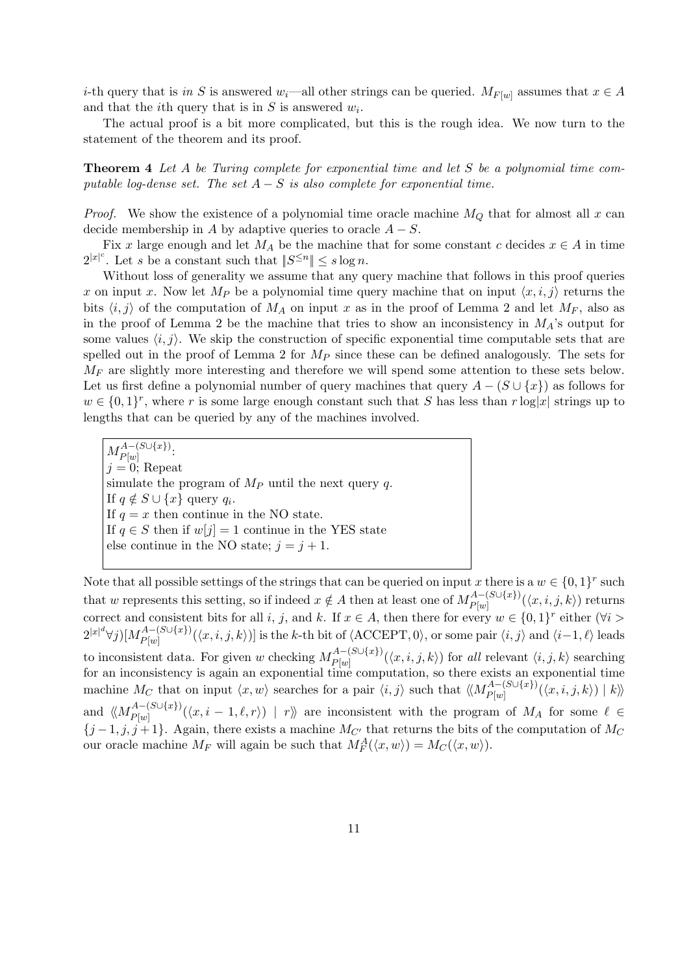*i*-th query that is in S is answered w<sub>i</sub>—all other strings can be queried.  $M_{F[w]}$  assumes that  $x \in A$ and that the *i*<sup>th</sup> query that is in  $S$  is answered  $w_i$ .

The actual proof is a bit more complicated, but this is the rough idea. We now turn to the statement of the theorem and its proof.

Theorem 4 Let A be Turing complete for exponential time and let S be a polynomial time computable log-dense set. The set  $A - S$  is also complete for exponential time.

*Proof.* We show the existence of a polynomial time oracle machine  $M_Q$  that for almost all x can decide membership in A by adaptive queries to oracle  $A - S$ .

Fix x large enough and let  $M_A$  be the machine that for some constant c decides  $x \in A$  in time  $2^{|x|^c}$ . Let s be a constant such that  $||S^{\leq n}|| \leq s \log n$ .

Without loss of generality we assume that any query machine that follows in this proof queries x on input x. Now let  $M_P$  be a polynomial time query machine that on input  $\langle x, i, j \rangle$  returns the bits  $\langle i, j \rangle$  of the computation of  $M_A$  on input x as in the proof of Lemma 2 and let  $M_F$ , also as in the proof of Lemma 2 be the machine that tries to show an inconsistency in  $M_A$ 's output for some values  $\langle i, j \rangle$ . We skip the construction of specific exponential time computable sets that are spelled out in the proof of Lemma 2 for  $M_P$  since these can be defined analogously. The sets for  $M_F$  are slightly more interesting and therefore we will spend some attention to these sets below. Let us first define a polynomial number of query machines that query  $A - (S \cup \{x\})$  as follows for  $w \in \{0,1\}^r$ , where r is some large enough constant such that S has less than  $r \log|x|$  strings up to lengths that can be queried by any of the machines involved.

 $M_{P[w]}^{A-(S\cup\{x\})}$  $P[w]$  $j = 0;$  Repeat simulate the program of  $M_P$  until the next query q. If  $q \notin S \cup \{x\}$  query  $q_i$ . If  $q = x$  then continue in the NO state. If  $q \in S$  then if  $w[j] = 1$  continue in the YES state else continue in the NO state;  $j = j + 1$ .

Note that all possible settings of the strings that can be queried on input x there is a  $w \in \{0,1\}^r$  such that w represents this setting, so if indeed  $x \notin A$  then at least one of  $M_{P[\omega]}^{A-(S\cup\{x\})}$  $P_{P[w]}^{(A= (S\cup \{x\})}(\langle x,i,j,k\rangle)$  returns correct and consistent bits for all i, j, and k. If  $x \in A$ , then there for every  $w \in \{0,1\}^r$  either  $(\forall i >$  $2^{|x|^d} \forall j) [M_{P[w]}^{A-(S\cup\{x\})}$  $P_{[w]}^{(A-1, S\cup \{x\})}(\langle x, i, j, k\rangle)$  is the k-th bit of  $\langle$ ACCEPT, 0}, or some pair  $\langle i, j \rangle$  and  $\langle i-1, \ell \rangle$  leads to inconsistent data. For given w checking  $M_{P[\omega]}^{A-(S\cup\{x\})}$  $P_{[w]}^{(A \to (S \cup \{x\})}(\langle x, i, j, k \rangle)$  for all relevant  $\langle i, j, k \rangle$  searching for an inconsistency is again an exponential time computation, so there exists an exponential time machine M<sub>C</sub> that on input  $\langle x, w \rangle$  searches for a pair  $\langle i, j \rangle$  such that  $\langle M_{Plw}^{A-(S\cup\{x\})}$  $\mathbb{P}_{P[w]}^{(A = \{S \cup \{x\})}(\langle x, i, j, k \rangle) \mid k\rangle$ and  $\langle\!\langle M_{P(w)}^{A-(S\cup\{x\})}\rangle$  $P_{P[w]}^{(A-1,0)(x)}(\langle x, i-1,\ell,r\rangle) | r\rangle$  are inconsistent with the program of  $M_A$  for some  $\ell \in$  $\{j-1, j, j+1\}$ . Again, there exists a machine  $M_{C'}$  that returns the bits of the computation of  $M_C$ our oracle machine  $M_F$  will again be such that  $M_F^A(\langle x, w \rangle) = M_C(\langle x, w \rangle)$ .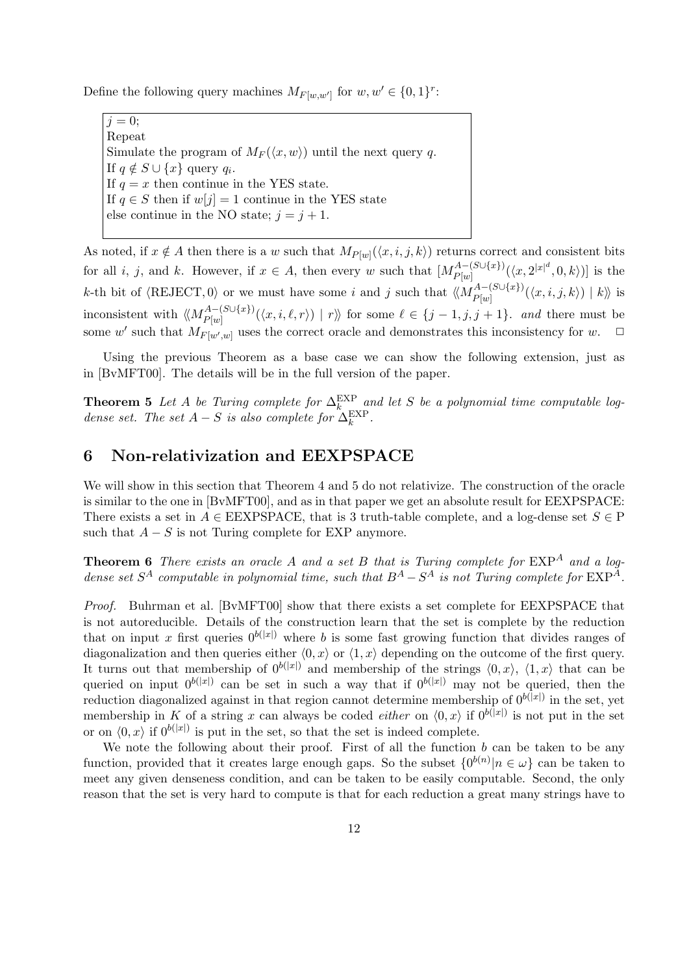Define the following query machines  $M_{F[w,w']}$  for  $w, w' \in \{0,1\}^r$ :

 $i = 0$ ; Repeat Simulate the program of  $M_F(\langle x, w \rangle)$  until the next query q. If  $q \notin S \cup \{x\}$  query  $q_i$ . If  $q = x$  then continue in the YES state. If  $q \in S$  then if  $w[j] = 1$  continue in the YES state else continue in the NO state;  $j = j + 1$ .

As noted, if  $x \notin A$  then there is a w such that  $M_{P[w]}(\langle x, i, j, k \rangle)$  returns correct and consistent bits for all *i*, *j*, and *k*. However, if  $x \in A$ , then every w such that  $[M_{P(w)}^{A-(S\cup\{x\}})]$  $\frac{P^{A-(S\cup\{x\})}}{P[w]}(\langle x,2^{|x|^{d}},0,k\rangle)]$  is the k-th bit of  $\langle$ REJECT, 0) or we must have some i and j such that  $\langle\!\langle M_{P[\omega]}^{A-(S\cup\{x\}}\rangle\rangle$  $P_{P[w]}^{A = (S \cup \{x\})}(\langle x, i, j, k \rangle) | k \rangle$  is inconsistent with  $\langle\!\langle M_{P[w]}^{A-(S\cup\{x\}}\rangle\rangle$  $P_{P[w]}^{(A-1,0)}(\langle x,i,\ell,r\rangle) | r\rangle$  for some  $\ell \in \{j-1,j,j+1\}$ . and there must be some w' such that  $M_{F[w',w]}$  uses the correct oracle and demonstrates this inconsistency for w.  $\Box$ 

Using the previous Theorem as a base case we can show the following extension, just as in [BvMFT00]. The details will be in the full version of the paper.

**Theorem 5** Let A be Turing complete for  $\Delta_k^{\text{EXP}}$  and let S be a polynomial time computable logdense set. The set  $A-S$  is also complete for  $\Delta_k^{\text{EXP}}$ .

## 6 Non-relativization and EEXPSPACE

We will show in this section that Theorem 4 and 5 do not relativize. The construction of the oracle is similar to the one in [BvMFT00], and as in that paper we get an absolute result for EEXPSPACE: There exists a set in  $A \in EEXPSPACE$ , that is 3 truth-table complete, and a log-dense set  $S \in P$ such that  $A - S$  is not Turing complete for EXP anymore.

**Theorem 6** There exists an oracle A and a set B that is Turing complete for  $EXP<sup>A</sup>$  and a logdense set  $S^A$  computable in polynomial time, such that  $B^A - S^A$  is not Turing complete for  $\text{EXP}^A$ .

Proof. Buhrman et al. [BvMFT00] show that there exists a set complete for EEXPSPACE that is not autoreducible. Details of the construction learn that the set is complete by the reduction that on input x first queries  $0^{b(|x|)}$  where b is some fast growing function that divides ranges of diagonalization and then queries either  $\langle 0, x \rangle$  or  $\langle 1, x \rangle$  depending on the outcome of the first query. It turns out that membership of  $0^{b(|x|)}$  and membership of the strings  $(0, x)$ ,  $(1, x)$  that can be queried on input  $0^{b(|x|)}$  can be set in such a way that if  $0^{b(|x|)}$  may not be queried, then the reduction diagonalized against in that region cannot determine membership of  $0^{b(|x|)}$  in the set, yet membership in K of a string x can always be coded *either* on  $\langle 0, x \rangle$  if  $0^{b(|x|)}$  is not put in the set or on  $\langle 0, x \rangle$  if  $0^{b(|x|)}$  is put in the set, so that the set is indeed complete.

We note the following about their proof. First of all the function  $b$  can be taken to be any function, provided that it creates large enough gaps. So the subset  $\{0^{b(n)}|n \in \omega\}$  can be taken to meet any given denseness condition, and can be taken to be easily computable. Second, the only reason that the set is very hard to compute is that for each reduction a great many strings have to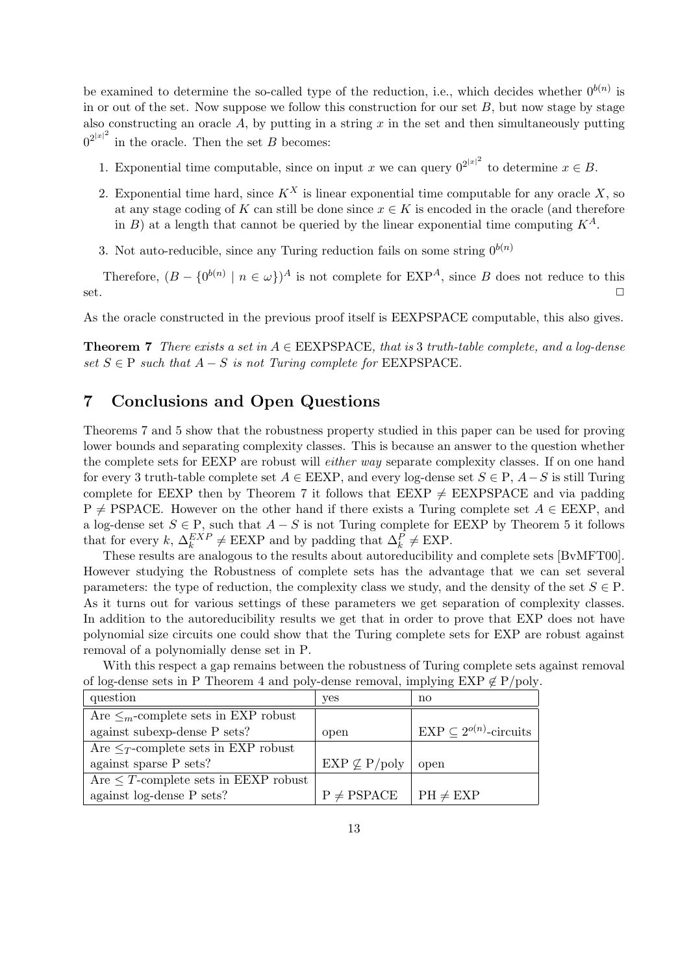be examined to determine the so-called type of the reduction, i.e., which decides whether  $0^{b(n)}$  is in or out of the set. Now suppose we follow this construction for our set  $B$ , but now stage by stage also constructing an oracle  $A$ , by putting in a string  $x$  in the set and then simultaneously putting  $0^{2|x|^2}$  in the oracle. Then the set B becomes:

- 1. Exponential time computable, since on input x we can query  $0^{2|x|^2}$  to determine  $x \in B$ .
- 2. Exponential time hard, since  $K^X$  is linear exponential time computable for any oracle X, so at any stage coding of K can still be done since  $x \in K$  is encoded in the oracle (and therefore in B) at a length that cannot be queried by the linear exponential time computing  $K^A$ .
- 3. Not auto-reducible, since any Turing reduction fails on some string  $0^{b(n)}$

Therefore,  $(B - \{0^{b(n)} | n \in \omega\})^A$  is not complete for  $EXP^A$ , since B does not reduce to this set.  $\Box$ 

As the oracle constructed in the previous proof itself is EEXPSPACE computable, this also gives.

**Theorem 7** There exists a set in  $A \in EEXPSPACE$ , that is 3 truth-table complete, and a log-dense set  $S \in \mathcal{P}$  such that  $A - S$  is not Turing complete for EEXPSPACE.

# 7 Conclusions and Open Questions

Theorems 7 and 5 show that the robustness property studied in this paper can be used for proving lower bounds and separating complexity classes. This is because an answer to the question whether the complete sets for EEXP are robust will either way separate complexity classes. If on one hand for every 3 truth-table complete set  $A \in EEXP$ , and every log-dense set  $S \in P$ ,  $A-S$  is still Turing complete for EEXP then by Theorem 7 it follows that EEXP  $\neq$  EEXPSPACE and via padding  $P \neq PSPACE$ . However on the other hand if there exists a Turing complete set  $A \in EEXP$ , and a log-dense set  $S \in \mathcal{P}$ , such that  $A - S$  is not Turing complete for EEXP by Theorem 5 it follows that for every  $k, \Delta_k^{EXP} \neq \text{EEXP}$  and by padding that  $\Delta_k^P \neq \text{EXP}$ .

These results are analogous to the results about autoreducibility and complete sets [BvMFT00]. However studying the Robustness of complete sets has the advantage that we can set several parameters: the type of reduction, the complexity class we study, and the density of the set  $S \in \mathcal{P}$ . As it turns out for various settings of these parameters we get separation of complexity classes. In addition to the autoreducibility results we get that in order to prove that EXP does not have polynomial size circuits one could show that the Turing complete sets for EXP are robust against removal of a polynomially dense set in P.

| question                                   | yes                     | no                                 |
|--------------------------------------------|-------------------------|------------------------------------|
| Are $\leq_m$ -complete sets in EXP robust  |                         |                                    |
| against subexp-dense P sets?               | open                    | $EXP \subseteq 2^{o(n)}$ -circuits |
| Are $\leq_T$ -complete sets in EXP robust  |                         |                                    |
| against sparse P sets?                     | $EXP \nsubseteq P/poly$ | open                               |
| Are $\leq T$ -complete sets in EEXP robust |                         |                                    |
| against log-dense P sets?                  | $P \neq PSPACE$         | $PH \neq EXP$                      |

With this respect a gap remains between the robustness of Turing complete sets against removal of log-dense sets in P Theorem 4 and poly-dense removal, implying EXP  $\notin$  P/poly.